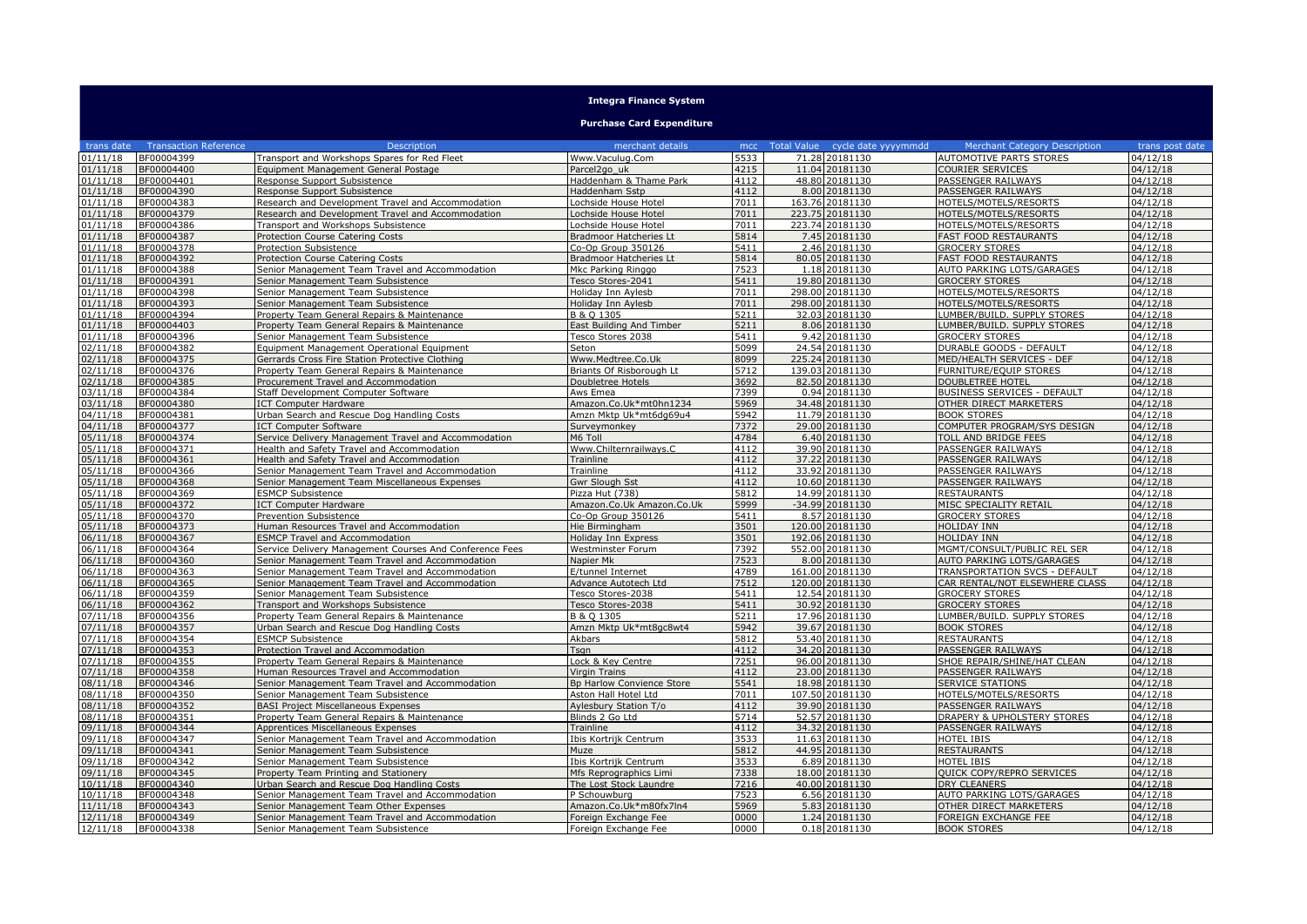## **Integra Finance System**

## **Purchase Card Expenditure**

| trans date           | <b>Transaction Reference</b> | Description                                                                           | merchant details                             |                  | mcc Total Value cycle date yyyymmdd | <b>Merchant Category Description</b>                | trans post date      |
|----------------------|------------------------------|---------------------------------------------------------------------------------------|----------------------------------------------|------------------|-------------------------------------|-----------------------------------------------------|----------------------|
| 01/11/18             | BF00004399                   | Transport and Workshops Spares for Red Fleet                                          | Www.Vaculug.Com                              | 5533             | 71.28 20181130                      | AUTOMOTIVE PARTS STORES                             | 04/12/18             |
| 01/11/18             | BF00004400                   | Equipment Management General Postage                                                  | Parcel2go uk                                 | 4215             | 11.04 20181130                      | COURIER SERVICES                                    | 04/12/18             |
| 01/11/18             | BF00004401                   | Response Support Subsistence                                                          | Haddenham & Thame Park                       | 4112             | 48.80 20181130                      | PASSENGER RAILWAYS                                  | 04/12/18             |
| 01/11/18             | BF00004390                   | Response Support Subsistence                                                          | Haddenham Sstp                               | 4112             | 8.00 20181130                       | PASSENGER RAILWAYS                                  | 04/12/18             |
| 01/11/18             | BF00004383                   | Research and Development Travel and Accommodation                                     | Lochside House Hotel                         | 7011             | 163.76 20181130                     | HOTELS/MOTELS/RESORTS                               | 04/12/18             |
| 01/11/18             | BF00004379                   | Research and Development Travel and Accommodation                                     | ochside House Hotel                          | 7011             | 223.75 20181130                     | HOTELS/MOTELS/RESORTS                               | 04/12/18             |
| 01/11/18             | BF00004386                   | Transport and Workshops Subsistence                                                   | Lochside House Hotel                         | 7011             | 223.74 20181130                     | HOTELS/MOTELS/RESORTS                               | 04/12/18             |
| 01/11/18             | BF00004387                   | Protection Course Catering Costs                                                      | <b>Bradmoor Hatcheries Lt</b>                | 5814             | 7.45 20181130                       | <b>FAST FOOD RESTAURANTS</b>                        | 04/12/18             |
| 01/11/18             | BF00004378                   | Protection Subsistence                                                                | Co-Op Group 350126                           | 5411             | 2.46 20181130                       | <b>GROCERY STORES</b>                               | 04/12/18             |
| 01/11/18             | BF00004392                   | Protection Course Catering Costs                                                      | Bradmoor Hatcheries Lt                       | 5814             | 80.05 20181130                      | <b>FAST FOOD RESTAURANTS</b>                        | 04/12/18             |
| 01/11/18             | BF00004388                   | Senior Management Team Travel and Accommodation                                       | Mkc Parking Ringgo                           | 7523             | 1.18 20181130                       | AUTO PARKING LOTS/GARAGES                           | 04/12/18             |
| 01/11/18             | BF00004391                   | Senior Management Team Subsistence                                                    | Tesco Stores-2041                            | 5411             | 19.80 20181130                      | <b>GROCERY STORES</b>                               | 04/12/18             |
| 01/11/18             | BF00004398                   | Senior Management Team Subsistence                                                    | Holiday Inn Aylesb                           | 7011             | 298.00 20181130                     | HOTELS/MOTELS/RESORTS                               | 04/12/18             |
| 01/11/18             | BF00004393                   | Senior Management Team Subsistence                                                    | Holiday Inn Aylesb                           | 7011             | 298.00 20181130                     | HOTELS/MOTELS/RESORTS                               | 04/12/18             |
| 01/11/18             | BF00004394                   | Property Team General Repairs & Maintenance                                           | B & O 1305                                   | 5211             | 32.03 20181130                      | LUMBER/BUILD. SUPPLY STORES                         | 04/12/18             |
| 01/11/18             | BF00004403                   | Property Team General Repairs & Maintenance                                           | East Building And Timber                     | 5211             | 8.06 20181130                       | LUMBER/BUILD. SUPPLY STORES                         | 04/12/18             |
| 01/11/18             | BF00004396                   | Senior Management Team Subsistence                                                    | Tesco Stores 2038                            | 5411             | 9.42 20181130                       | <b>GROCERY STORES</b>                               | 04/12/18             |
| 02/11/18             | BF00004382                   | Equipment Management Operational Equipment                                            | Seton                                        | 5099             | 24.54 20181130                      | DURABLE GOODS - DEFAULT                             | 04/12/18             |
| 02/11/18             | BF00004375                   | Gerrards Cross Fire Station Protective Clothing                                       | Www.Medtree.Co.Uk                            | 8099             | 225.24 20181130                     | MED/HEALTH SERVICES - DEF                           | 04/12/18             |
| 02/11/18             | BF00004376                   | Property Team General Repairs & Maintenance                                           | Briants Of Risborough Lt                     | 5712             | 139.03 20181130                     | <b>FURNITURE/EOUIP STORES</b>                       | 04/12/18             |
| 02/11/18             | BF00004385                   | Procurement Travel and Accommodation                                                  | Doubletree Hotels                            | 3692             | 82.50 20181130                      | DOUBLETREE HOTEL                                    | 04/12/18             |
| 03/11/18             | BF00004384                   | Staff Development Computer Software                                                   | Aws Emea                                     | 7399             | 0.94 20181130                       | BUSINESS SERVICES - DEFAULT                         | 04/12/18             |
| 03/11/18             | BF00004380                   | <b>ICT Computer Hardware</b>                                                          | Amazon.Co.Uk*mt0hn1234                       | 5969             | 34.48 20181130                      | OTHER DIRECT MARKETERS                              | 04/12/18             |
| 04/11/18             | BF00004381                   | Urban Search and Rescue Dog Handling Costs                                            | Amzn Mktp Uk*mt6da69u4                       | 5942             | 11.79 20181130                      | <b>BOOK STORES</b>                                  | 04/12/18             |
| 04/11/18             | BF00004377                   | <b>ICT Computer Software</b>                                                          | Surveymonkey                                 | 7372             | 29.00 20181130                      | COMPUTER PROGRAM/SYS DESIGN                         | 04/12/18             |
| 05/11/18             | BF00004374                   | Service Delivery Management Travel and Accommodation                                  | M6 Toll                                      | 4784             | 6.40 20181130                       | TOLL AND BRIDGE FEES                                | 04/12/18             |
| 05/11/18             | BF00004371                   | Health and Safety Travel and Accommodation                                            | Www.Chilternrailways.C                       | 4112             | 39.90 20181130                      | PASSENGER RAILWAYS                                  | 04/12/18             |
| 05/11/18             | BF00004361                   | Health and Safety Travel and Accommodation                                            | Trainline                                    | 4112             | 37.22 20181130                      | PASSENGER RAILWAYS                                  | 04/12/18             |
| 05/11/18             | BF00004366                   | Senior Management Team Travel and Accommodation                                       | Trainline                                    | 4112             | 33.92 20181130                      | PASSENGER RAILWAYS                                  | 04/12/18             |
| 05/11/18             | BF00004368                   | Senior Management Team Miscellaneous Expenses                                         | Gwr Slough Sst                               | 4112             | 10.60 20181130                      | PASSENGER RAILWAYS                                  | 04/12/18             |
| 05/11/18             | BF00004369                   | <b>ESMCP Subsistence</b>                                                              | Pizza Hut (738)                              | 5812             | 14.99 20181130                      | <b>RESTAURANTS</b>                                  | 04/12/18             |
| 05/11/18             | BF00004372                   | <b>ICT Computer Hardware</b>                                                          | Amazon.Co.Uk Amazon.Co.Uk                    | 5999             | $-34.99$ 20181130                   | MISC SPECIALITY RETAIL                              | 04/12/18             |
| 05/11/18             | BF00004370                   | Prevention Subsistence                                                                | Co-Op Group 350126                           | 5411             | 8.57 20181130                       | <b>GROCERY STORES</b>                               | 04/12/18             |
| 05/11/18             | BF00004373                   | Human Resources Travel and Accommodation                                              | Hie Birmingham                               | 3501             | 120.00 20181130                     | <b>HOLIDAY INN</b>                                  | 04/12/18             |
| 06/11/18             | BF00004367                   | <b>ESMCP Travel and Accommodation</b>                                                 | Holiday Inn Express                          | 3501             | 192.06 20181130                     | <b>HOLIDAY INN</b>                                  | 04/12/18             |
| 06/11/18             | BF00004364                   | Service Delivery Management Courses And Conference Fees                               | Westminster Forum                            | 7392             | 552.00 20181130                     | MGMT/CONSULT/PUBLIC REL SER                         | 04/12/18             |
| 06/11/18             | BF00004360                   | Senior Management Team Travel and Accommodation                                       | Napier Mk                                    | 7523             | 8.00 20181130                       | AUTO PARKING LOTS/GARAGES                           | 04/12/18             |
| 06/11/18             | BF00004363                   | Senior Management Team Travel and Accommodation                                       | E/tunnel Internet                            | 4789             | 161.00 20181130                     | TRANSPORTATION SVCS - DEFAULT                       | 04/12/18             |
| 06/11/18             | BF00004365                   | Senior Management Team Travel and Accommodation                                       | Advance Autotech Ltd                         | 7512             | 120.00 20181130                     | CAR RENTAL/NOT ELSEWHERE CLASS                      | 04/12/18             |
| 06/11/18             | BF00004359                   | Senior Management Team Subsistence                                                    | Tesco Stores-2038                            | 5411             | 12.54 20181130                      | <b>GROCERY STORES</b>                               | 04/12/18             |
| 06/11/18             | BF00004362                   | Transport_and Workshops Subsistence                                                   | Tesco Stores-2038                            | 5411             | 30.92 20181130                      | <b>GROCERY STORES</b>                               | 04/12/18             |
| 07/11/18             | BF00004356                   | Property Team General Repairs & Maintenance                                           | B & Q 1305                                   | 5211             | 17.96 20181130                      | LUMBER/BUILD. SUPPLY STORES                         | 04/12/18             |
| 07/11/18             | BF00004357                   | Urban Search and Rescue Dog Handling Costs                                            | Amzn Mktp Uk*mt8gc8wt4                       | 5942             | 39.67 20181130                      | <b>BOOK STORES</b>                                  | 04/12/18             |
| 07/11/18             | BF00004354                   | <b>ESMCP Subsistence</b>                                                              | Akbars                                       | 5812             | 53.40 20181130                      | <b>RESTAURANTS</b>                                  | 04/12/18             |
| 07/11/18             | BF00004353                   | Protection Travel and Accommodation                                                   | Tsan                                         | 4112             | 34.20 20181130                      | PASSENGER RAILWAYS                                  | 04/12/18             |
| 07/11/18             | BF00004355                   | Property Team General Repairs & Maintenance                                           | Lock & Key Centre                            | 7251             | 96.00 20181130                      | SHOE REPAIR/SHINE/HAT CLEAN                         | 04/12/18             |
| 07/11/18             | BF00004358                   | Human Resources Travel and Accommodation                                              | Virgin Trains                                | 4112             | 23.00 20181130                      | PASSENGER RAILWAYS                                  | 04/12/18             |
| 08/11/18             | BF00004346                   | Senior Management Team Travel and Accommodation                                       | Bp Harlow Convience Store                    | 5541             | 18.98 20181130                      | <b>SERVICE STATIONS</b>                             | 04/12/18             |
| 08/11/18             | BF00004350                   | Senior Management Team Subsistence                                                    | Aston Hall Hotel Ltd                         | 7011             | 107.50 20181130                     | HOTELS/MOTELS/RESORTS                               | 04/12/18             |
| 08/11/18             | BF00004352                   | <b>BASI Project Miscellaneous Expenses</b>                                            | Aylesbury Station T/o                        | 4112             | 39.90 20181130                      | PASSENGER RAILWAYS                                  | 04/12/18             |
| 08/11/18             | BF00004351                   | Property Team General Repairs & Maintenance                                           | Blinds 2 Go Ltd                              | $\frac{1}{5714}$ | 52.57 20181130                      | DRAPERY & UPHOLSTERY STORES                         | 04/12/18             |
| 09/11/18             | BF00004344                   | Apprentices Miscellaneous Expenses                                                    | Trainline                                    | 4112             | 34.32 20181130                      | PASSENGER RAILWAYS                                  | 04/12/18             |
| 09/11/18             | BF00004347                   | Senior Management Team Travel and Accommodation                                       | Ibis Kortrijk Centrum                        | 3533             | 11.63 20181130                      | <b>HOTEL IBIS</b>                                   | 04/12/18             |
| 09/11/18             | BF00004341                   | Senior Management Team Subsistence                                                    | Muze                                         | 5812             | 44.95 20181130                      | <b>RESTAURANTS</b>                                  | 04/12/18             |
| 09/11/18             | BF00004342                   | Senior Management Team Subsistence                                                    | Ibis Kortrijk Centrum                        | 3533             | 6.89 20181130<br>18.00 20181130     | <b>HOTEL IBIS</b>                                   | 04/12/18             |
| 09/11/18             | BF00004345                   | Property Team Printing and Stationery                                                 | Mfs Reprographics Limi                       | 7338             |                                     | QUICK COPY/REPRO SERVICES                           | 04/12/18             |
| 10/11/18             | BF00004340                   | Urban Search and Rescue Dog Handling Costs                                            | The Lost Stock Laundre                       | 7216<br>7523     | 40.00 20181130                      | <b>DRY CLEANERS</b>                                 | 04/12/18             |
| 10/11/18             | BF00004348                   | Senior Management Team Travel and Accommodation                                       | P Schouwburg                                 |                  | 6.56 20181130                       | AUTO PARKING LOTS/GARAGES<br>OTHER DIRECT MARKETERS | 04/12/18             |
| 11/11/18<br>12/11/18 | BF00004343<br>BF00004349     | Senior Management Team Other Expenses                                                 | Amazon.Co.Uk*m80fx7ln4                       | 5969<br>0000     | 5.83 20181130<br>1.24 20181130      | <b>FOREIGN EXCHANGE FEE</b>                         | 04/12/18<br>04/12/18 |
| 12/11/18             | BF00004338                   | Senior Management Team Travel and Accommodation<br>Senior Management Team Subsistence | Foreign Exchange Fee<br>Foreign Exchange Fee | 0000             | 0.18 20181130                       | <b>BOOK STORES</b>                                  | 04/12/18             |
|                      |                              |                                                                                       |                                              |                  |                                     |                                                     |                      |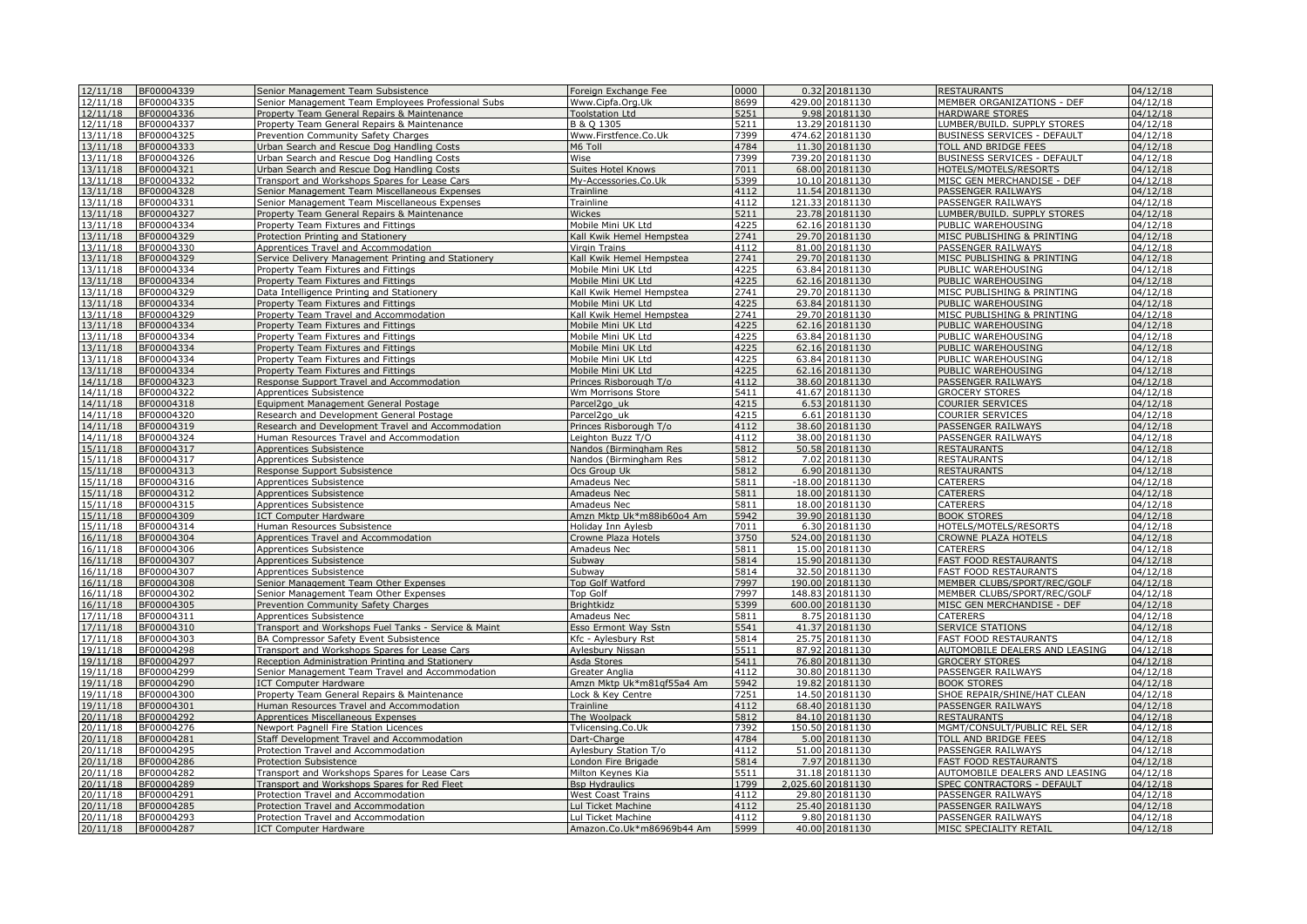| 12/11/18             | BF00004339               | Senior Management Team Subsistence                                                           | Foreign Exchange Fee                        | 0000             |        | 0.32 20181130                     | RESTAURANTS                              | 04/12/18             |
|----------------------|--------------------------|----------------------------------------------------------------------------------------------|---------------------------------------------|------------------|--------|-----------------------------------|------------------------------------------|----------------------|
| 12/11/18             | BF00004335               | Senior Management Team Employees Professional Subs                                           | Www.Cipfa.Org.Uk                            | 8699             |        | 429.00 20181130                   | MEMBER ORGANIZATIONS - DEF               | 04/12/18             |
| 12/11/18             | BF00004336               | Property Team General Repairs & Maintenance                                                  | <b>Foolstation Ltd</b>                      | 5251             |        | 9.98 20181130                     | HARDWARE STORES                          | 04/12/18             |
| 12/11/18             | BF00004337               | Property Team General Repairs & Maintenance                                                  | B & O 1305                                  | 5211             |        | 13.29 20181130                    | LUMBER/BUILD. SUPPLY STORES              | 04/12/18             |
| 13/11/18             | BF00004325               | Prevention Community Safety Charges                                                          | Www.Firstfence.Co.Uk                        | 7399             |        | 474.62 20181130                   | BUSINESS SERVICES - DEFAULT              | 04/12/18             |
| 13/11/18             | BF00004333               | Urban Search and Rescue Dog Handling Costs                                                   | M6 Toll                                     | 4784             |        | 11.30 20181130                    | TOLL AND BRIDGE FEES                     | 04/12/18             |
| 13/11/18             | BF00004326               | Urban Search and Rescue Dog Handling Costs                                                   | Wise                                        | 7399             |        | 739.20 20181130                   | BUSINESS SERVICES - DEFAULT              | 04/12/18             |
| 13/11/18             | BF00004321               | Urban Search and Rescue Dog Handling Costs                                                   | <b>Suites Hotel Knows</b>                   | 7011             |        | 68.00 20181130                    | HOTELS/MOTELS/RESORTS                    | 04/12/18             |
| 13/11/18             | BF00004332               | Transport and Workshops Spares for Lease Cars                                                | My-Accessories.Co.Uk                        | 5399             |        | 10.10 20181130                    | MISC GEN MERCHANDISE - DEF               | 04/12/18             |
| 13/11/18<br>13/11/18 | BF00004328<br>BF00004331 | Senior Management Team Miscellaneous Expenses                                                | Trainline<br>Trainline                      | 4112<br>4112     |        | 11.54 20181130<br>121.33 20181130 | PASSENGER RAILWAYS<br>PASSENGER RAILWAYS | 04/12/18<br>04/12/18 |
| 13/11/18             | BF00004327               | Senior Management Team Miscellaneous Expenses<br>Property Team General Repairs & Maintenance | Wickes                                      | $\frac{1}{5211}$ |        | 23.78 20181130                    | LUMBER/BUILD. SUPPLY STORES              | 04/12/18             |
| 13/11/18             | BF00004334               | Property Team Fixtures and Fittings                                                          | Mobile Mini UK Ltd                          | 4225             |        | 62.16 20181130                    | PUBLIC WAREHOUSING                       | 04/12/18             |
| 13/11/18             | BF00004329               | Protection Printing and Stationery                                                           | Kall Kwik Hemel Hempstea                    | 2741             |        | 29.70 20181130                    | MISC PUBLISHING & PRINTING               | 04/12/18             |
| 13/11/18             | BF00004330               | Apprentices Travel and Accommodation                                                         | Virgin Trains                               | 4112             |        | 81.00 20181130                    | PASSENGER RAILWAYS                       | 04/12/18             |
| 13/11/18             | BF00004329               | Service Delivery Management Printing and Stationery                                          | Kall Kwik Hemel Hempstea                    | 2741             |        | 29.70 20181130                    | MISC PUBLISHING & PRINTING               | 04/12/18             |
| 13/11/18             | BF00004334               | Property Team Fixtures and Fittings                                                          | Mobile Mini UK Ltd                          | 4225             |        | 63.84 20181130                    | PUBLIC WAREHOUSING                       | 04/12/18             |
| 13/11/18             | BF00004334               | Property Team Fixtures and Fittings                                                          | Mobile Mini UK Ltd                          | 4225             |        | 62.16 20181130                    | PUBLIC WAREHOUSING                       | 04/12/18             |
| 13/11/18             | BF00004329               | Data Intelligence Printing and Stationery                                                    | Kall Kwik Hemel Hempstea                    | 2741             |        | 29.70 20181130                    | MISC PUBLISHING & PRINTING               | 04/12/18             |
| 13/11/18             | BF00004334               | Property Team Fixtures and Fittings                                                          | Mobile Mini UK Ltd                          | 4225             |        | 63.84 20181130                    | PUBLIC WAREHOUSING                       | 04/12/18             |
| 13/11/18             | BF00004329               | Property Team Travel and Accommodation                                                       | Kall Kwik Hemel Hempstea                    | 2741             |        | 29.70 20181130                    | MISC PUBLISHING & PRINTING               | 04/12/18             |
| 13/11/18             | BF00004334               | Property Team Fixtures and Fittings                                                          | Mobile Mini UK Ltd                          | 4225             |        | 62.16 20181130                    | PUBLIC WAREHOUSING                       | 04/12/18             |
| 13/11/18             | BF00004334               | Property Team Fixtures and Fittings                                                          | Mobile Mini UK Ltd                          | 4225             |        | 63.84 20181130                    | PUBLIC WAREHOUSING                       | 04/12/18             |
| 13/11/18             | BF00004334               | Property Team Fixtures and Fittings                                                          | Mobile Mini UK Ltd                          | 4225             |        | 62.16 20181130                    | PUBLIC WAREHOUSING                       | 04/12/18             |
| 13/11/18             | BF00004334               | Property Team Fixtures and Fittings                                                          | Mobile Mini UK Ltd                          | 4225             |        | 63.84 20181130                    | PUBLIC WAREHOUSING                       | 04/12/18             |
| 13/11/18             | BF00004334               | Property Team Fixtures and Fittings                                                          | Mobile Mini UK Ltd                          | 4225             |        | 62.16 20181130                    | PUBLIC WAREHOUSING                       | 04/12/18             |
| 14/11/18             | BF00004323               | Response Support Travel and Accommodation                                                    | Princes Risborough T/o                      | 4112             |        | 38.60 20181130                    | PASSENGER RAILWAYS                       | 04/12/18             |
| 14/11/18             | BF00004322               | Apprentices Subsistence                                                                      | Wm Morrisons Store                          | 5411             |        | 41.67 20181130                    | <b>GROCERY STORES</b>                    | 04/12/18             |
| 14/11/18             | BF00004318               | Equipment Management General Postage                                                         | Parcel2go_uk                                | 4215             |        | 6.53 20181130                     | COURIER SERVICES                         | 04/12/18             |
| 14/11/18             | BF00004320               | Research and Development General Postage                                                     | Parcel <sub>2gouk</sub>                     | 4215             |        | 6.61 20181130                     | COURIER SERVICES                         | 04/12/18             |
| 14/11/18             | BF00004319<br>BF00004324 | Research and Development Travel and Accommodation                                            | Princes Risborough T/o                      | 4112<br>4112     |        | 38.60 20181130                    | PASSENGER RAILWAYS                       | 04/12/18<br>04/12/18 |
| 14/11/18<br>15/11/18 | BF00004317               | Human Resources Travel and Accommodation<br>Apprentices Subsistence                          | eighton Buzz T/O<br>Nandos (Birmingham Res  | 5812             |        | 38.00 20181130<br>50.58 20181130  | PASSENGER RAILWAYS<br><b>RESTAURANTS</b> | 04/12/18             |
| 15/11/18             | BF00004317               | Apprentices Subsistence                                                                      | Nandos (Birmingham Res                      | 5812             |        | 7.02 20181130                     | <b>RESTAURANTS</b>                       | 04/12/18             |
| 15/11/18             | BF00004313               | Response Support Subsistence                                                                 | Ocs Group Uk                                | 5812             |        | 6.90 20181130                     | <b>RESTAURANTS</b>                       | 04/12/18             |
| 15/11/18             | BF00004316               | Apprentices Subsistence                                                                      | Amadeus Nec                                 | 5811             |        | $-18.00$ 20181130                 | CATERERS                                 | 04/12/18             |
| 15/11/18             | BF00004312               | Apprentices Subsistence                                                                      | Amadeus Nec                                 | 5811             | 18.00  | 20181130                          | CATERERS                                 | 04/12/18             |
| 15/11/18             | BF00004315               | Apprentices Subsistence                                                                      | Amadeus Nec                                 | 5811             |        | 18.00 20181130                    | CATERERS                                 | 04/12/18             |
| 15/11/18             | BF00004309               | <b>ICT Computer Hardware</b>                                                                 | Amzn Mktp Uk*m88ib60o4 Am                   | 5942             |        | 39.90 20181130                    | <b>BOOK STORES</b>                       | 04/12/18             |
| 15/11/18             | BF00004314               | Human Resources Subsistence                                                                  | Holiday Inn Aylesb                          | 7011             |        | 6.30 20181130                     | HOTELS/MOTELS/RESORTS                    | 04/12/18             |
| 16/11/18             | BF00004304               | Apprentices Travel and Accommodation                                                         | Crowne Plaza Hotels                         | 3750             |        | 524.00 20181130                   | CROWNE PLAZA HOTELS                      | 04/12/18             |
| 16/11/18             | BF00004306               | Apprentices Subsistence                                                                      | Amadeus Nec                                 | 5811             |        | 15.00 20181130                    | <b>CATERERS</b>                          | 04/12/18             |
| 16/11/18             | BF00004307               | Apprentices Subsistence                                                                      | Subway                                      | 5814             |        | 15.90 20181130                    | <b>FAST FOOD RESTAURANTS</b>             | 04/12/18             |
| 16/11/18             | BF00004307               | Apprentices Subsistence                                                                      | Subway                                      | 5814             |        | 32.50 20181130                    | <b>FAST FOOD RESTAURANTS</b>             | 04/12/18             |
| 16/11/18             | BF00004308               | Senior Management Team Other Expenses                                                        | <b>Top Golf Watford</b>                     | 7997             |        | 190.00 20181130                   | MEMBER CLUBS/SPORT/REC/GOLF              | 04/12/18             |
| 16/11/18             | BF00004302               | Senior Management Team Other Expenses                                                        | <b>Top Golf</b>                             | 7997             | 148.83 | 20181130                          | MEMBER CLUBS/SPORT/REC/GOLF              | 04/12/18             |
| 16/11/18             | BF00004305               | Prevention Community Safety Charges                                                          | Brightkidz                                  | 5399             |        | 600.00 20181130                   | MISC GEN MERCHANDISE - DEF               | 04/12/18             |
| 17/11/18             | BF00004311               | Apprentices Subsistence                                                                      | Amadeus Nec                                 | 5811             |        | 8.75 20181130                     | CATERERS                                 | 04/12/18             |
| 17/11/18             | BF00004310               | Transport and Workshops Fuel Tanks - Service & Maint                                         | Esso Ermont Way Sstn                        | 5541             |        | 41.37 20181130                    | <b>SERVICE STATIONS</b>                  | 04/12/18             |
| 17/11/18             | BF00004303               | BA Compressor Safety Event Subsistence                                                       | Kfc - Aylesbury Rst                         | 5814             |        | 25.75 20181130                    | FAST FOOD RESTAURANTS                    | 04/12/18             |
| 19/11/18             | BF00004298               | Transport and Workshops Spares for Lease Cars                                                | Aylesbury Nissan                            | 5511             |        | 87.92 20181130                    | AUTOMOBILE DEALERS AND LEASING           | 04/12/18             |
| 19/11/18             | BF00004297               | Reception Administration Printing and Stationery                                             | Asda Stores                                 | 5411             |        | 76.80 20181130                    | <b>GROCERY STORES</b>                    | 04/12/18             |
| 19/11/18<br>19/11/18 | BF00004299<br>BF00004290 | Senior Management Team Travel and Accommodation                                              | Greater Anglia<br>Amzn Mktp Uk*m81qf55a4 Am | 4112<br>5942     |        | 30.80 20181130<br>19.82 20181130  | PASSENGER RAILWAYS<br><b>BOOK STORES</b> | 04/12/18<br>04/12/18 |
| 19/11/18             | BF00004300               | <b>ICT Computer Hardware</b><br>Property Team General Repairs & Maintenance                  | ock & Key Centre                            | 7251             |        | 14.50 20181130                    | SHOE REPAIR/SHINE/HAT CLEAN              | 04/12/18             |
| 19/11/18             | BF00004301               | Human Resources Travel and Accommodation                                                     | Trainline                                   | 4112             |        | 68.40 20181130                    | PASSENGER RAILWAYS                       | 04/12/18             |
| 20/11/18             | BF00004292               | Apprentices Miscellaneous Expenses                                                           | The Woolpack                                | 5812             |        | 84.10 20181130                    | <b>RESTAURANTS</b>                       | 04/12/18             |
| 20/11/18             | BF00004276               | Newport Pagnell Fire Station Licences                                                        | Tylicensing.Co.Uk                           | 7392             |        | 150.50 20181130                   | MGMT/CONSULT/PUBLIC REL SER              | 04/12/18             |
| 20/11/18             | BF00004281               | Staff Development Travel and Accommodation                                                   | Dart-Charge                                 | 4784             |        | 5.00 20181130                     | <b>TOLL AND BRIDGE FEES</b>              | 04/12/18             |
| 20/11/18             | BF00004295               | Protection Travel and Accommodation                                                          | Aylesbury Station T/o                       | 4112             |        | 51.00 20181130                    | PASSENGER RAILWAYS                       | 04/12/18             |
| 20/11/18             | BF00004286               | Protection Subsistence                                                                       | London Fire Brigade                         | 5814             |        | 7.97 20181130                     | <b>FAST FOOD RESTAURANTS</b>             | 04/12/18             |
| 20/11/18             | BF00004282               | Transport and Workshops Spares for Lease Cars                                                | Milton Keynes Kia                           | 5511             |        | 31.18 20181130                    | AUTOMOBILE DEALERS AND LEASING           | 04/12/18             |
| 20/11/18             | BF00004289               | Transport and Workshops Spares for Red Fleet                                                 | <b>Bsp Hydraulics</b>                       | 1799             |        | 2,025.60 20181130                 | SPEC CONTRACTORS - DEFAULT               | 04/12/18             |
| 20/11/18             | BF00004291               | Protection Travel and Accommodation                                                          | West Coast Trains                           | 4112             |        | 29.80 20181130                    | PASSENGER RAILWAYS                       | 04/12/18             |
| 20/11/18             | BF00004285               | Protection Travel and Accommodation                                                          | Lul Ticket Machine                          | 4112             |        | 25.40 20181130                    | PASSENGER RAILWAYS                       | 04/12/18             |
| 20/11/18             | BF00004293               | Protection Travel and Accommodation                                                          | Lul Ticket Machine                          | 4112             |        | 9.80 20181130                     | PASSENGER RAILWAYS                       | 04/12/18             |
| 20/11/18             | BF00004287               | <b>ICT Computer Hardware</b>                                                                 | Amazon.Co.Uk*m86969b44 Am                   | 5999             |        | 40.00 20181130                    | MISC SPECIALITY RETAIL                   | 04/12/18             |